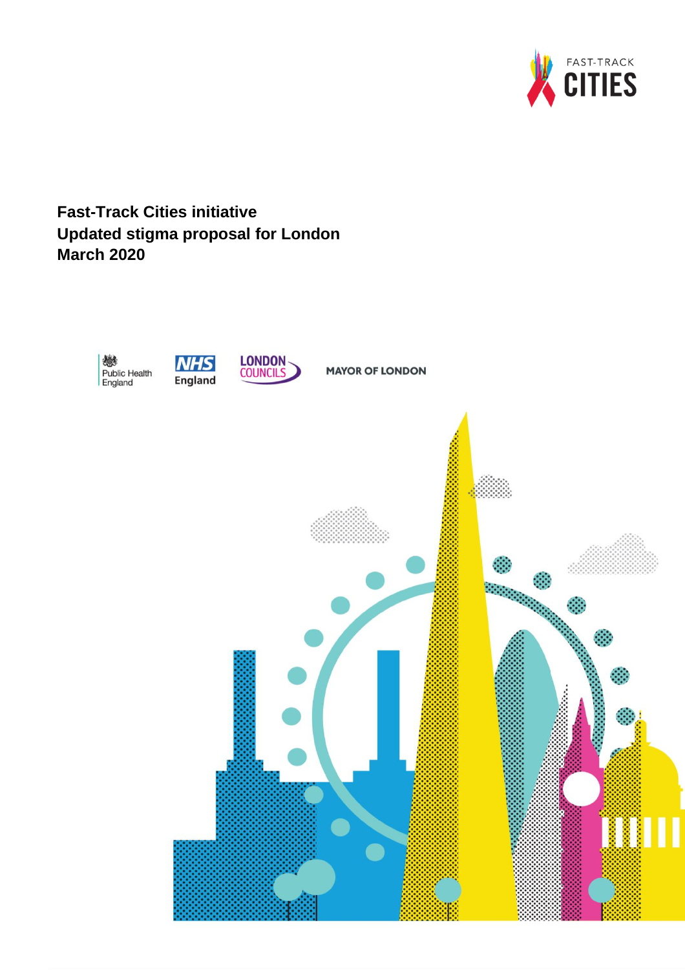

# **Fast-Track Cities initiative Updated stigma proposal for London March 2020**

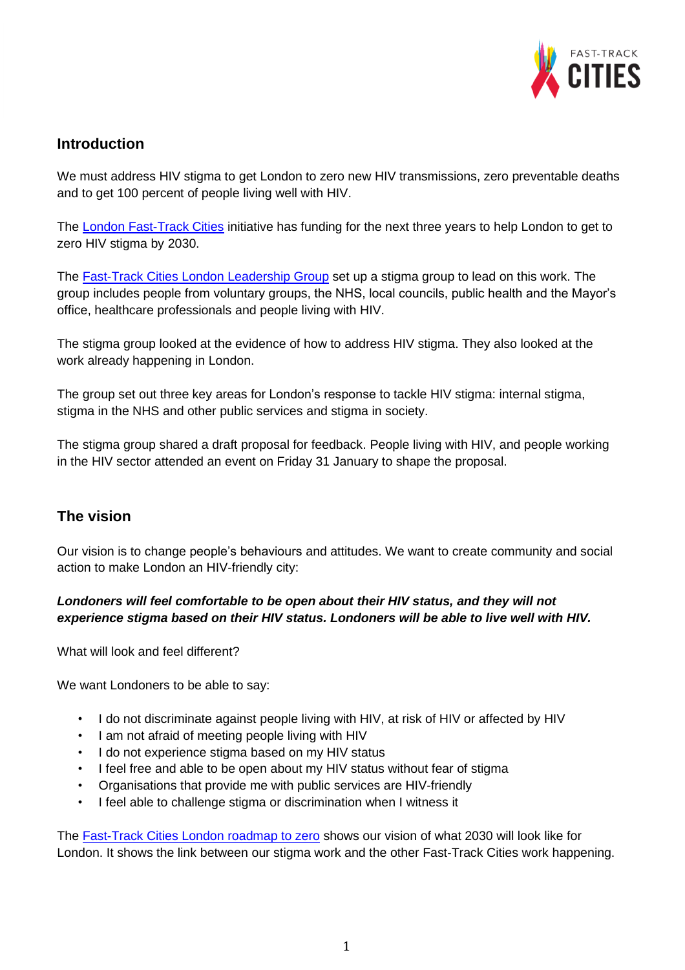

## **Introduction**

We must address HIV stigma to get London to zero new HIV transmissions, zero preventable deaths and to get 100 percent of people living well with HIV.

The [London Fast-Track Cities](https://www.healthylondon.org/our-work/fast-track-cities-initiative/) initiative has funding for the next three years to help London to get to zero HIV stigma by 2030.

The [Fast-Track Cities London Leadership Group](https://www.healthylondon.org/our-work/fast-track-cities-initiative/fast-track-cities-london-leadership-group/) set up a stigma group to lead on this work. The group includes people from voluntary groups, the NHS, local councils, public health and the Mayor's office, healthcare professionals and people living with HIV.

The stigma group looked at the evidence of how to address HIV stigma. They also looked at the work already happening in London.

The group set out three key areas for London's response to tackle HIV stigma: internal stigma, stigma in the NHS and other public services and stigma in society.

The stigma group shared a draft proposal for feedback. People living with HIV, and people working in the HIV sector attended an event on Friday 31 January to shape the proposal.

### **The vision**

Our vision is to change people's behaviours and attitudes. We want to create community and social action to make London an HIV-friendly city:

### *Londoners will feel comfortable to be open about their HIV status, and they will not experience stigma based on their HIV status. Londoners will be able to live well with HIV.*

What will look and feel different?

We want Londoners to be able to say:

- I do not discriminate against people living with HIV, at risk of HIV or affected by HIV
- I am not afraid of meeting people living with HIV
- I do not experience stigma based on my HIV status
- I feel free and able to be open about my HIV status without fear of stigma
- Organisations that provide me with public services are HIV-friendly
- I feel able to challenge stigma or discrimination when I witness it

The [Fast-Track Cities London](https://www.healthylondon.org/wp-content/uploads/2019/12/FTCI-roadmap-800x500@1.5x.png) roadmap to zero shows our vision of what 2030 will look like for London. It shows the link between our stigma work and the other Fast-Track Cities work happening.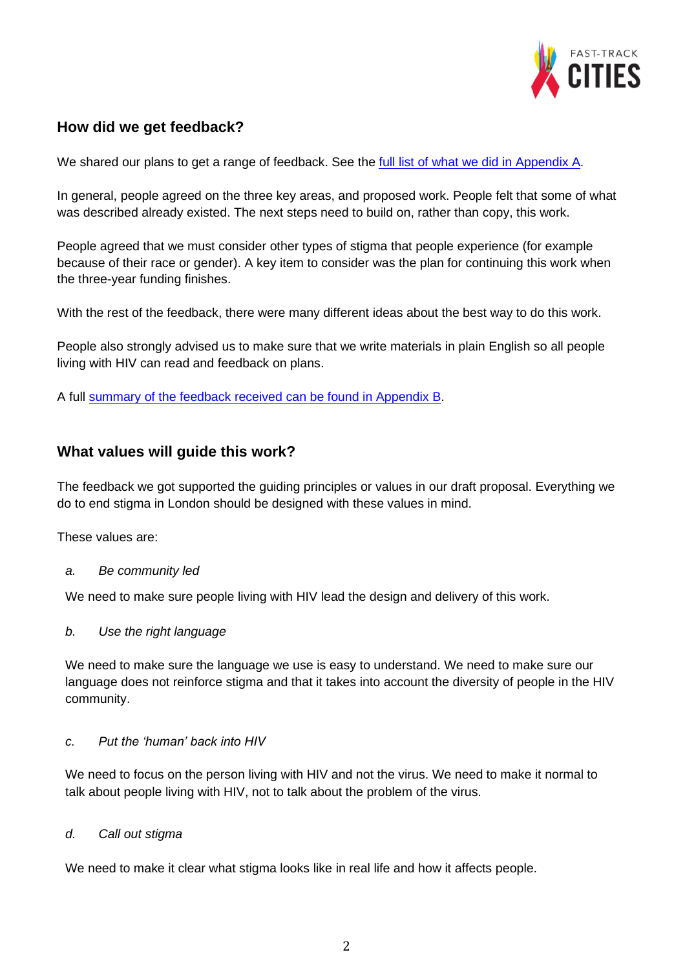

### **How did we get feedback?**

We shared our plans to get a range of feedback. See the full list [of what we did](https://www.healthylondon.org/wp-content/uploads/2020/03/Appendix-A-how-did-we-get-feedback-pdf-version.pdf) in Appendix A.

In general, people agreed on the three key areas, and proposed work. People felt that some of what was described already existed. The next steps need to build on, rather than copy, this work.

People agreed that we must consider other types of stigma that people experience (for example because of their race or gender). A key item to consider was the plan for continuing this work when the three-year funding finishes.

With the rest of the feedback, there were many different ideas about the best way to do this work.

People also strongly advised us to make sure that we write materials in plain English so all people living with HIV can read and feedback on plans.

A full [summary of the feedback received can be found in Appendix B.](https://www.healthylondon.org/wp-content/uploads/2020/03/Appendix-B-feedback-received-on-original-proposal-pdf-version.pdf)

### **What values will guide this work?**

The feedback we got supported the guiding principles or values in our draft proposal. Everything we do to end stigma in London should be designed with these values in mind.

These values are:

*a. Be community led*

We need to make sure people living with HIV lead the design and delivery of this work.

*b. Use the right language* 

We need to make sure the language we use is easy to understand. We need to make sure our language does not reinforce stigma and that it takes into account the diversity of people in the HIV community.

### *c. Put the 'human' back into HIV*

We need to focus on the person living with HIV and not the virus. We need to make it normal to talk about people living with HIV, not to talk about the problem of the virus.

#### *d. Call out stigma*

We need to make it clear what stigma looks like in real life and how it affects people.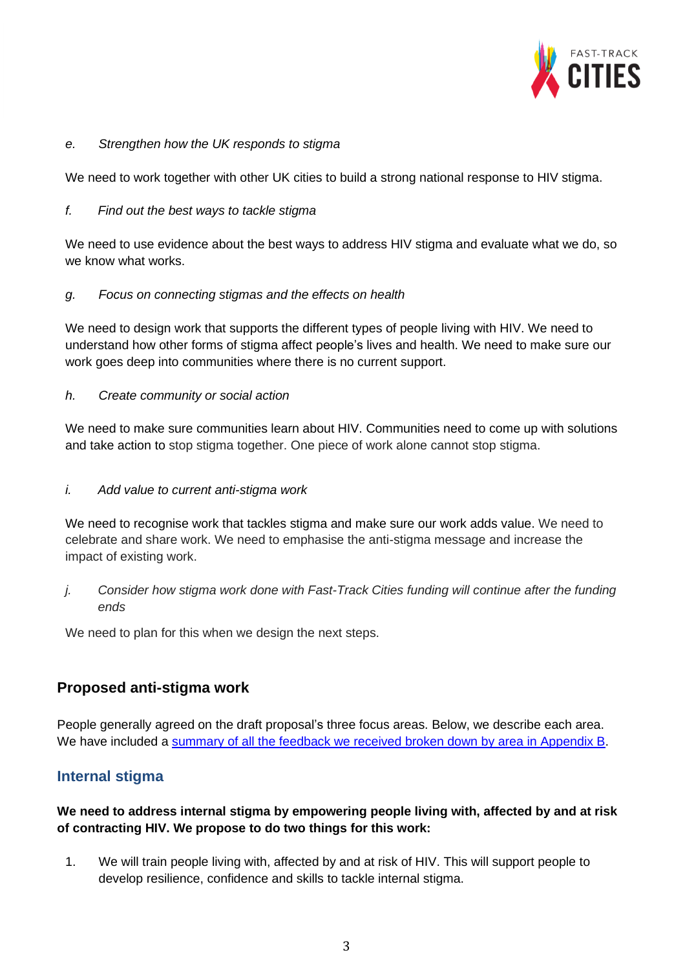

#### *e. Strengthen how the UK responds to stigma*

We need to work together with other UK cities to build a strong national response to HIV stigma.

#### *f. Find out the best ways to tackle stigma*

We need to use evidence about the best ways to address HIV stigma and evaluate what we do, so we know what works.

### *g. Focus on connecting stigmas and the effects on health*

We need to design work that supports the different types of people living with HIV. We need to understand how other forms of stigma affect people's lives and health. We need to make sure our work goes deep into communities where there is no current support.

### *h. Create community or social action*

We need to make sure communities learn about HIV. Communities need to come up with solutions and take action to stop stigma together. One piece of work alone cannot stop stigma.

#### *i. Add value to current anti-stigma work*

We need to recognise work that tackles stigma and make sure our work adds value. We need to celebrate and share work. We need to emphasise the anti-stigma message and increase the impact of existing work.

*j. Consider how stigma work done with Fast-Track Cities funding will continue after the funding ends*

We need to plan for this when we design the next steps.

### **Proposed anti-stigma work**

People generally agreed on the draft proposal's three focus areas. Below, we describe each area. We have included a summary of all the feedback we received [broken down by area in Appendix B.](https://www.healthylondon.org/wp-content/uploads/2020/03/Appendix-B-feedback-received-on-original-proposal-pdf-version.pdf)

### **Internal stigma**

### **We need to address internal stigma by empowering people living with, affected by and at risk of contracting HIV. We propose to do two things for this work:**

1. We will train people living with, affected by and at risk of HIV. This will support people to develop resilience, confidence and skills to tackle internal stigma.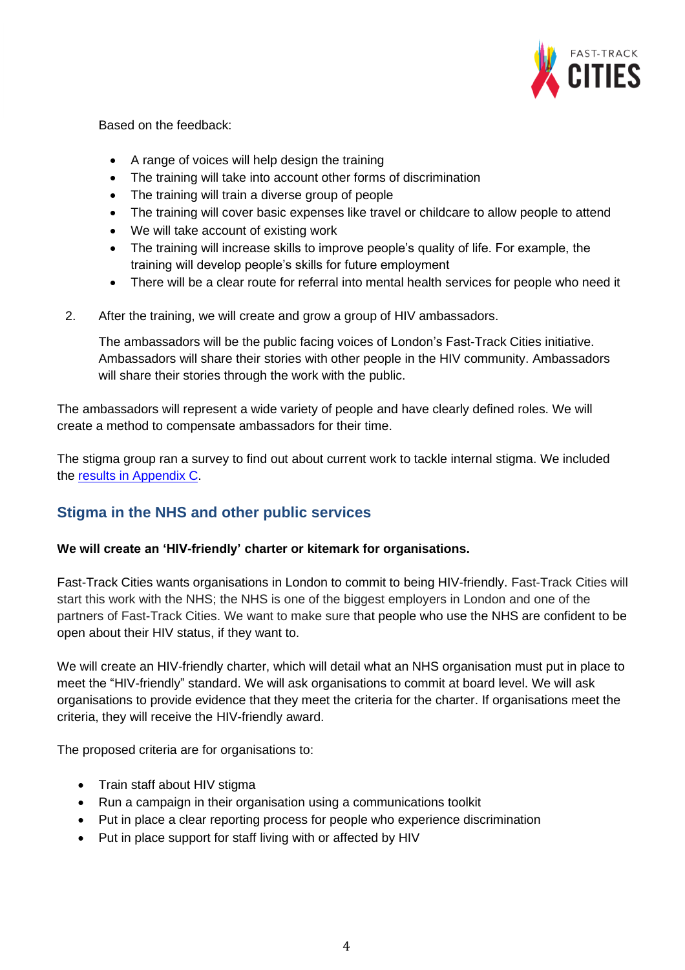

Based on the feedback:

- A range of voices will help design the training
- The training will take into account other forms of discrimination
- The training will train a diverse group of people
- The training will cover basic expenses like travel or childcare to allow people to attend
- We will take account of existing work
- The training will increase skills to improve people's quality of life. For example, the training will develop people's skills for future employment
- There will be a clear route for referral into mental health services for people who need it
- 2. After the training, we will create and grow a group of HIV ambassadors.

The ambassadors will be the public facing voices of London's Fast-Track Cities initiative. Ambassadors will share their stories with other people in the HIV community. Ambassadors will share their stories through the work with the public.

The ambassadors will represent a wide variety of people and have clearly defined roles. We will create a method to compensate ambassadors for their time.

The stigma group ran a survey to find out about current work to tackle internal stigma. We included the [results in Appendix C.](https://www.healthylondon.org/wp-content/uploads/2020/03/Appendix-C-fact-finding-survey-on-what-work-already-exists-pdf-version.pdf)

# **Stigma in the NHS and other public services**

#### **We will create an 'HIV-friendly' charter or kitemark for organisations.**

Fast-Track Cities wants organisations in London to commit to being HIV-friendly. Fast-Track Cities will start this work with the NHS; the NHS is one of the biggest employers in London and one of the partners of Fast-Track Cities. We want to make sure that people who use the NHS are confident to be open about their HIV status, if they want to.

We will create an HIV-friendly charter, which will detail what an NHS organisation must put in place to meet the "HIV-friendly" standard. We will ask organisations to commit at board level. We will ask organisations to provide evidence that they meet the criteria for the charter. If organisations meet the criteria, they will receive the HIV-friendly award.

The proposed criteria are for organisations to:

- Train staff about HIV stigma
- Run a campaign in their organisation using a communications toolkit
- Put in place a clear reporting process for people who experience discrimination
- Put in place support for staff living with or affected by HIV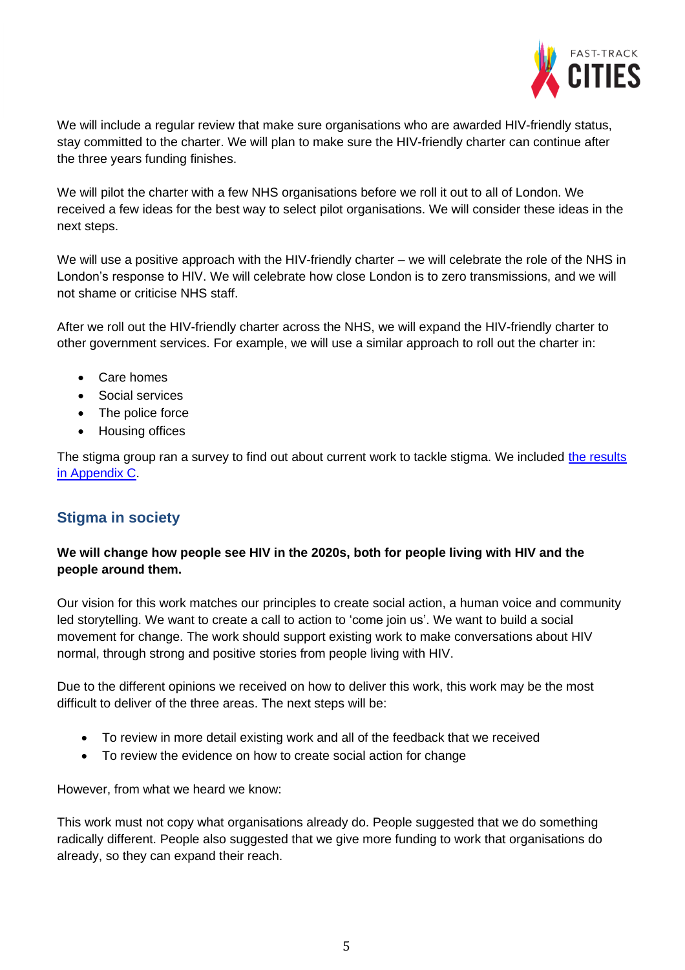

We will include a regular review that make sure organisations who are awarded HIV-friendly status, stay committed to the charter. We will plan to make sure the HIV-friendly charter can continue after the three years funding finishes.

We will pilot the charter with a few NHS organisations before we roll it out to all of London. We received a few ideas for the best way to select pilot organisations. We will consider these ideas in the next steps.

We will use a positive approach with the HIV-friendly charter – we will celebrate the role of the NHS in London's response to HIV. We will celebrate how close London is to zero transmissions, and we will not shame or criticise NHS staff.

After we roll out the HIV-friendly charter across the NHS, we will expand the HIV-friendly charter to other government services. For example, we will use a similar approach to roll out the charter in:

- Care homes
- Social services
- The police force
- Housing offices

The stigma group ran a survey to find out about current work to tackle stigma. We included the results [in Appendix C.](https://www.healthylondon.org/wp-content/uploads/2020/03/Appendix-C-fact-finding-survey-on-what-work-already-exists-pdf-version.pdf)

# **Stigma in society**

### **We will change how people see HIV in the 2020s, both for people living with HIV and the people around them.**

Our vision for this work matches our principles to create social action, a human voice and community led storytelling. We want to create a call to action to 'come join us'. We want to build a social movement for change. The work should support existing work to make conversations about HIV normal, through strong and positive stories from people living with HIV.

Due to the different opinions we received on how to deliver this work, this work may be the most difficult to deliver of the three areas. The next steps will be:

- To review in more detail existing work and all of the feedback that we received
- To review the evidence on how to create social action for change

However, from what we heard we know:

This work must not copy what organisations already do. People suggested that we do something radically different. People also suggested that we give more funding to work that organisations do already, so they can expand their reach.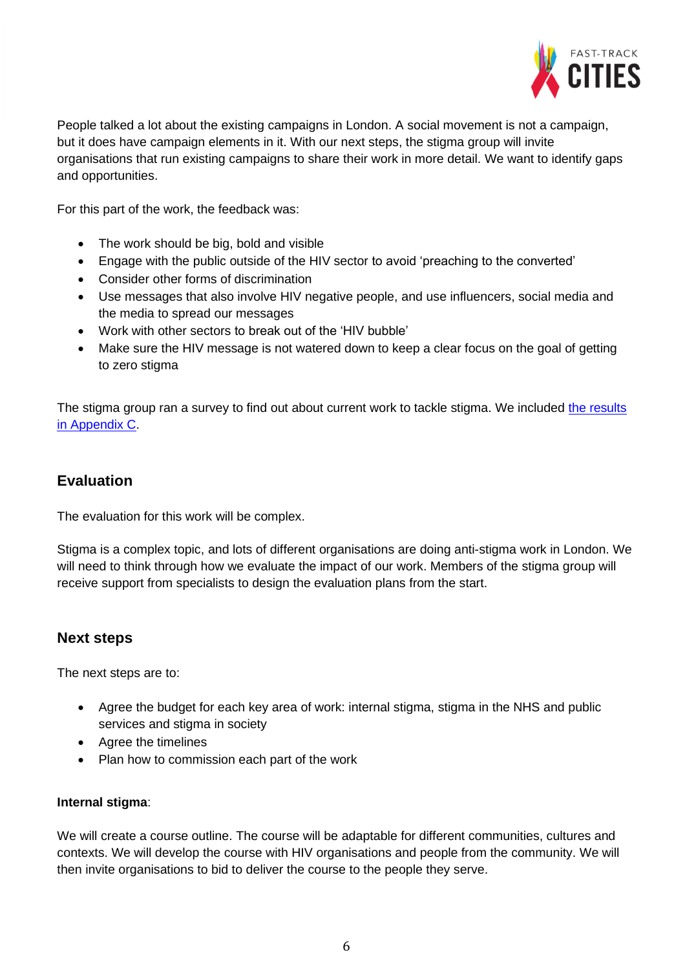

People talked a lot about the existing campaigns in London. A social movement is not a campaign, but it does have campaign elements in it. With our next steps, the stigma group will invite organisations that run existing campaigns to share their work in more detail. We want to identify gaps and opportunities.

For this part of the work, the feedback was:

- The work should be big, bold and visible
- Engage with the public outside of the HIV sector to avoid 'preaching to the converted'
- Consider other forms of discrimination
- Use messages that also involve HIV negative people, and use influencers, social media and the media to spread our messages
- Work with other sectors to break out of the 'HIV bubble'
- Make sure the HIV message is not watered down to keep a clear focus on the goal of getting to zero stigma

The stigma group ran a survey to find out about current work to tackle stigma. We included [the results](https://www.healthylondon.org/wp-content/uploads/2020/03/Appendix-C-fact-finding-survey-on-what-work-already-exists-pdf-version.pdf) [in Appendix C.](https://www.healthylondon.org/wp-content/uploads/2020/03/Appendix-C-fact-finding-survey-on-what-work-already-exists-pdf-version.pdf)

### **Evaluation**

The evaluation for this work will be complex.

Stigma is a complex topic, and lots of different organisations are doing anti-stigma work in London. We will need to think through how we evaluate the impact of our work. Members of the stigma group will receive support from specialists to design the evaluation plans from the start.

### **Next steps**

The next steps are to:

- Agree the budget for each key area of work: internal stigma, stigma in the NHS and public services and stigma in society
- Agree the timelines
- Plan how to commission each part of the work

#### **Internal stigma**:

We will create a course outline. The course will be adaptable for different communities, cultures and contexts. We will develop the course with HIV organisations and people from the community. We will then invite organisations to bid to deliver the course to the people they serve.